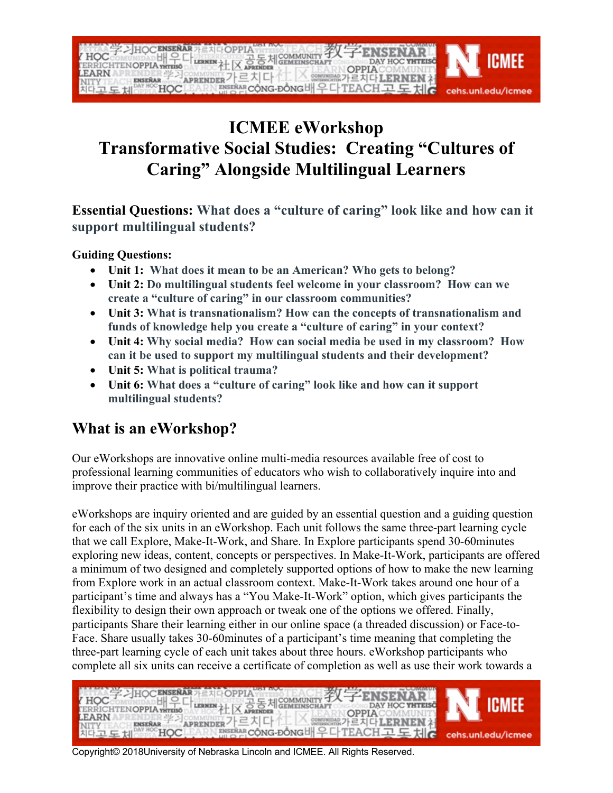

## **ICMEE eWorkshop Transformative Social Studies: Creating "Cultures of Caring" Alongside Multilingual Learners**

**Essential Questions: What does a "culture of caring" look like and how can it support multilingual students?**

**Guiding Questions:**

- **Unit 1: What does it mean to be an American? Who gets to belong?**
- **Unit 2: Do multilingual students feel welcome in your classroom? How can we create a "culture of caring" in our classroom communities?**
- **Unit 3: What is transnationalism? How can the concepts of transnationalism and funds of knowledge help you create a "culture of caring" in your context?**
- **Unit 4: Why social media? How can social media be used in my classroom? How can it be used to support my multilingual students and their development?**
- **Unit 5: What is political trauma?**
- **Unit 6: What does a "culture of caring" look like and how can it support multilingual students?**

## **What is an eWorkshop?**

Our eWorkshops are innovative online multi-media resources available free of cost to professional learning communities of educators who wish to collaboratively inquire into and improve their practice with bi/multilingual learners.

eWorkshops are inquiry oriented and are guided by an essential question and a guiding question for each of the six units in an eWorkshop. Each unit follows the same three-part learning cycle that we call Explore, Make-It-Work, and Share. In Explore participants spend 30-60minutes exploring new ideas, content, concepts or perspectives. In Make-It-Work, participants are offered a minimum of two designed and completely supported options of how to make the new learning from Explore work in an actual classroom context. Make-It-Work takes around one hour of a participant's time and always has a "You Make-It-Work" option, which gives participants the flexibility to design their own approach or tweak one of the options we offered. Finally, participants Share their learning either in our online space (a threaded discussion) or Face-to-Face. Share usually takes 30-60minutes of a participant's time meaning that completing the three-part learning cycle of each unit takes about three hours. eWorkshop participants who complete all six units can receive a certificate of completion as well as use their work towards a

| HOC HISTORY AND REAL BANK WAS TRIANGED AND TO AN ACTENT OF THE SEARCH THREE REAL PROPERTY OF THE ACTENT OF THE ACTENT OF THE ACTENT OF THE ACTENT OF THE ACTENT OF THE ACTENT OF THE ACTENT OF THE ACTENT OF THE ACTENT OF THE |  |
|--------------------------------------------------------------------------------------------------------------------------------------------------------------------------------------------------------------------------------|--|
|                                                                                                                                                                                                                                |  |

Copyright© 2018University of Nebraska Lincoln and ICMEE. All Rights Reserved.